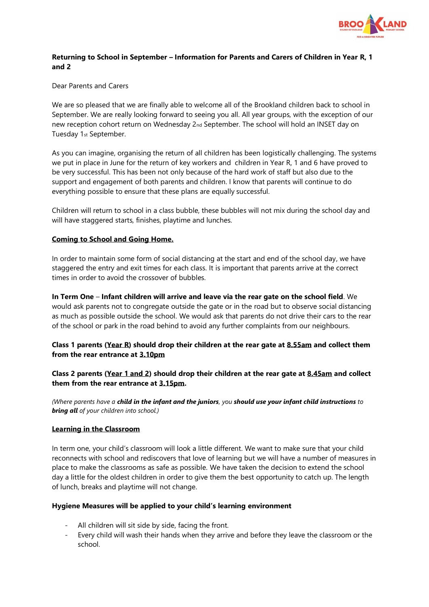

# **Returning to School in September – Information for Parents and Carers of Children in Year R, 1 and 2**

Dear Parents and Carers

We are so pleased that we are finally able to welcome all of the Brookland children back to school in September. We are really looking forward to seeing you all. All year groups, with the exception of our new reception cohort return on Wednesday 2nd September. The school will hold an INSET day on Tuesday 1st September.

As you can imagine, organising the return of all children has been logistically challenging. The systems we put in place in June for the return of key workers and children in Year R, 1 and 6 have proved to be very successful. This has been not only because of the hard work of staff but also due to the support and engagement of both parents and children. I know that parents will continue to do everything possible to ensure that these plans are equally successful.

Children will return to school in a class bubble, these bubbles will not mix during the school day and will have staggered starts, finishes, playtime and lunches.

### **Coming to School and Going Home.**

In order to maintain some form of social distancing at the start and end of the school day, we have staggered the entry and exit times for each class. It is important that parents arrive at the correct times in order to avoid the crossover of bubbles.

**In Term One** – **Infant children will arrive and leave via the rear gate on the school field**. We would ask parents not to congregate outside the gate or in the road but to observe social distancing as much as possible outside the school. We would ask that parents do not drive their cars to the rear of the school or park in the road behind to avoid any further complaints from our neighbours.

# **Class 1 parents (Year R) should drop their children at the rear gate at 8.55am and collect them from the rear entrance at 3.10pm**

# **Class 2 parents (Year 1 and 2) should drop their children at the rear gate at 8.45am and collect them from the rear entrance at 3.15pm.**

*(Where parents have a child in the infant and the juniors, you should use your infant child instructions to bring all of your children into school.)*

#### **Learning in the Classroom**

In term one, your child's classroom will look a little different. We want to make sure that your child reconnects with school and rediscovers that love of learning but we will have a number of measures in place to make the classrooms as safe as possible. We have taken the decision to extend the school day a little for the oldest children in order to give them the best opportunity to catch up. The length of lunch, breaks and playtime will not change.

#### **Hygiene Measures will be applied to your child's learning environment**

- All children will sit side by side, facing the front.
- Every child will wash their hands when they arrive and before they leave the classroom or the school.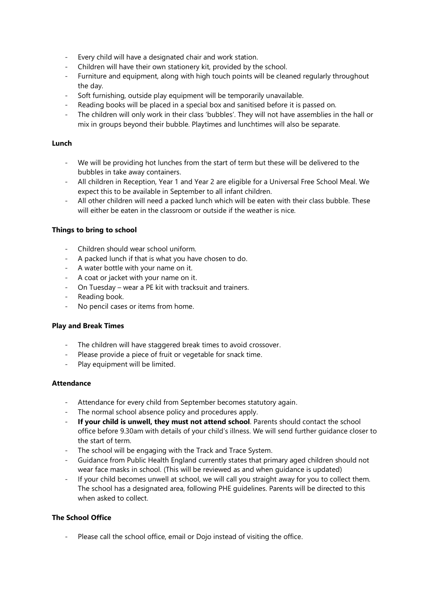- Every child will have a designated chair and work station.
- Children will have their own stationery kit, provided by the school.
- Furniture and equipment, along with high touch points will be cleaned regularly throughout the day.
- Soft furnishing, outside play equipment will be temporarily unavailable.
- Reading books will be placed in a special box and sanitised before it is passed on.
- The children will only work in their class 'bubbles'. They will not have assemblies in the hall or mix in groups beyond their bubble. Playtimes and lunchtimes will also be separate.

### **Lunch**

- We will be providing hot lunches from the start of term but these will be delivered to the bubbles in take away containers.
- All children in Reception, Year 1 and Year 2 are eligible for a Universal Free School Meal. We expect this to be available in September to all infant children.
- All other children will need a packed lunch which will be eaten with their class bubble. These will either be eaten in the classroom or outside if the weather is nice.

### **Things to bring to school**

- Children should wear school uniform.
- A packed lunch if that is what you have chosen to do.
- A water bottle with your name on it.
- A coat or jacket with your name on it.
- On Tuesday wear a PE kit with tracksuit and trainers.
- Reading book.
- No pencil cases or items from home.

#### **Play and Break Times**

- The children will have staggered break times to avoid crossover.
- Please provide a piece of fruit or vegetable for snack time.
- Play equipment will be limited.

#### **Attendance**

- Attendance for every child from September becomes statutory again.
- The normal school absence policy and procedures apply.
- **If your child is unwell, they must not attend school**. Parents should contact the school office before 9.30am with details of your child's illness. We will send further guidance closer to the start of term.
- The school will be engaging with the Track and Trace System.
- Guidance from Public Health England currently states that primary aged children should not wear face masks in school. (This will be reviewed as and when guidance is updated)
- If your child becomes unwell at school, we will call you straight away for you to collect them. The school has a designated area, following PHE guidelines. Parents will be directed to this when asked to collect.

# **The School Office**

Please call the school office, email or Dojo instead of visiting the office.